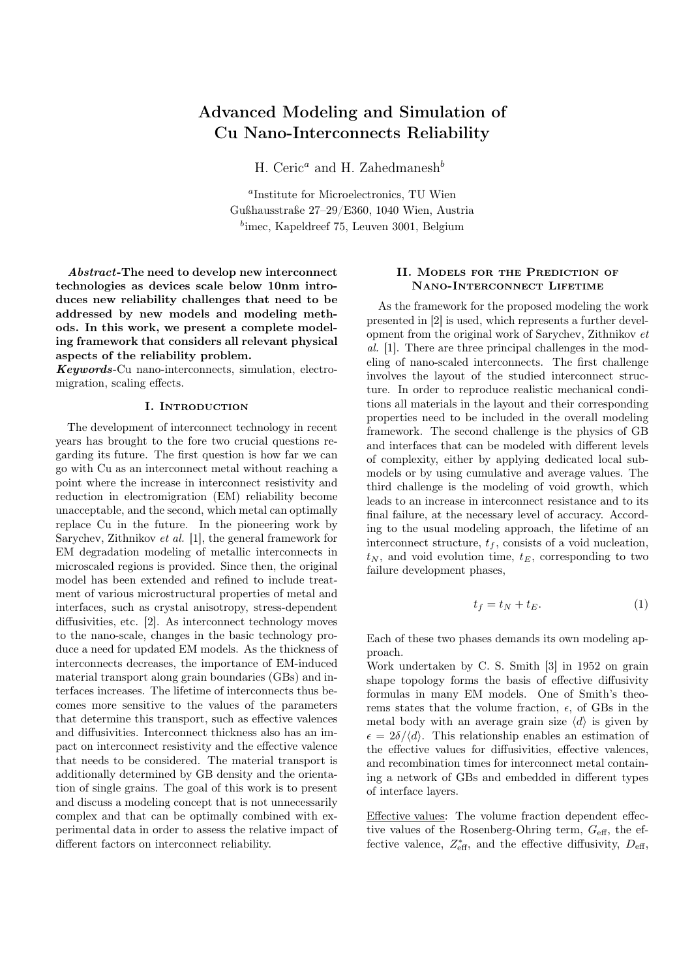# Advanced Modeling and Simulation of Cu Nano-Interconnects Reliability

H. Ceric<sup>a</sup> and H. Zahedmanesh<sup>b</sup>

a Institute for Microelectronics, TU Wien Gußhausstraße 27–29/E360, 1040 Wien, Austria <sup>b</sup>imec, Kapeldreef 75, Leuven 3001, Belgium

Abstract-The need to develop new interconnect technologies as devices scale below 10nm introduces new reliability challenges that need to be addressed by new models and modeling methods. In this work, we present a complete modeling framework that considers all relevant physical aspects of the reliability problem.

Keywords-Cu nano-interconnects, simulation, electromigration, scaling effects.

### I. INTRODUCTION

The development of interconnect technology in recent years has brought to the fore two crucial questions regarding its future. The first question is how far we can go with Cu as an interconnect metal without reaching a point where the increase in interconnect resistivity and reduction in electromigration (EM) reliability become unacceptable, and the second, which metal can optimally replace Cu in the future. In the pioneering work by Sarychev, Zithnikov et al. [1], the general framework for EM degradation modeling of metallic interconnects in microscaled regions is provided. Since then, the original model has been extended and refined to include treatment of various microstructural properties of metal and interfaces, such as crystal anisotropy, stress-dependent diffusivities, etc. [2]. As interconnect technology moves to the nano-scale, changes in the basic technology produce a need for updated EM models. As the thickness of interconnects decreases, the importance of EM-induced material transport along grain boundaries (GBs) and interfaces increases. The lifetime of interconnects thus becomes more sensitive to the values of the parameters that determine this transport, such as effective valences and diffusivities. Interconnect thickness also has an impact on interconnect resistivity and the effective valence that needs to be considered. The material transport is additionally determined by GB density and the orientation of single grains. The goal of this work is to present and discuss a modeling concept that is not unnecessarily complex and that can be optimally combined with experimental data in order to assess the relative impact of different factors on interconnect reliability.

## II. Models for the Prediction of Nano-Interconnect Lifetime

As the framework for the proposed modeling the work presented in [2] is used, which represents a further development from the original work of Sarychev, Zithnikov et al. [1]. There are three principal challenges in the modeling of nano-scaled interconnects. The first challenge involves the layout of the studied interconnect structure. In order to reproduce realistic mechanical conditions all materials in the layout and their corresponding properties need to be included in the overall modeling framework. The second challenge is the physics of GB and interfaces that can be modeled with different levels of complexity, either by applying dedicated local submodels or by using cumulative and average values. The third challenge is the modeling of void growth, which leads to an increase in interconnect resistance and to its final failure, at the necessary level of accuracy. According to the usual modeling approach, the lifetime of an interconnect structure,  $t_f$ , consists of a void nucleation,  $t_N$ , and void evolution time,  $t_E$ , corresponding to two failure development phases,

$$
t_f = t_N + t_E. \tag{1}
$$

Each of these two phases demands its own modeling approach.

Work undertaken by C. S. Smith [3] in 1952 on grain shape topology forms the basis of effective diffusivity formulas in many EM models. One of Smith's theorems states that the volume fraction,  $\epsilon$ , of GBs in the metal body with an average grain size  $\langle d \rangle$  is given by  $\epsilon = 2\delta/\langle d \rangle$ . This relationship enables an estimation of the effective values for diffusivities, effective valences, and recombination times for interconnect metal containing a network of GBs and embedded in different types of interface layers.

Effective values: The volume fraction dependent effective values of the Rosenberg-Ohring term,  $G_{\text{eff}}$ , the effective valence,  $Z_{\text{eff}}^*$ , and the effective diffusivity,  $D_{\text{eff}}$ ,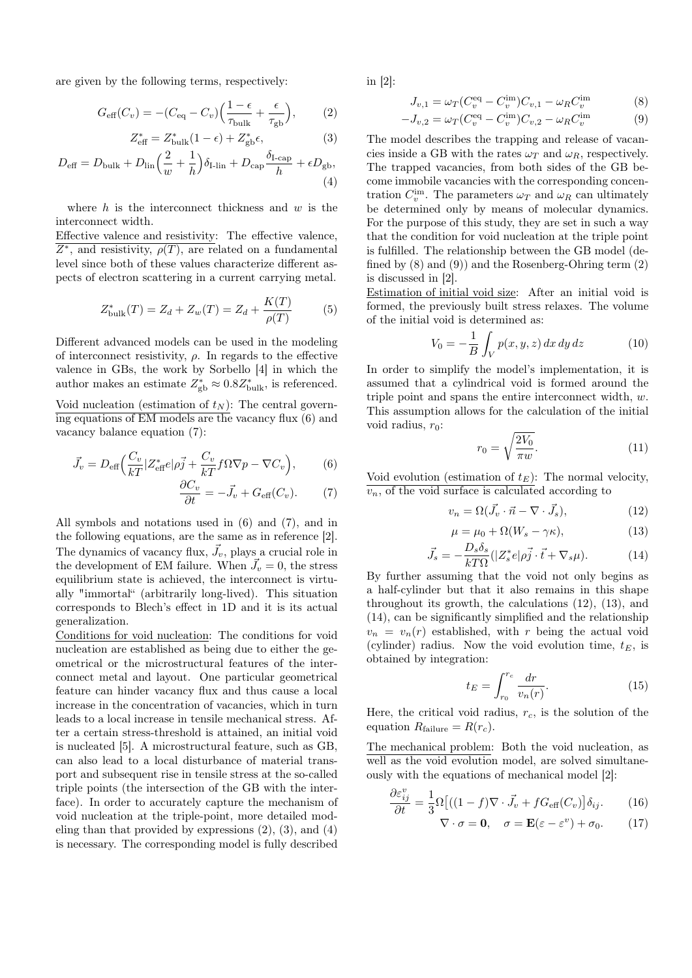are given by the following terms, respectively:

$$
G_{\text{eff}}(C_v) = -(C_{\text{eq}} - C_v) \left( \frac{1 - \epsilon}{\tau_{\text{bulk}}} + \frac{\epsilon}{\tau_{\text{gb}}} \right),\tag{2}
$$

$$
Z_{\text{eff}}^* = Z_{\text{bulk}}^*(1 - \epsilon) + Z_{\text{gb}}^*,\tag{3}
$$

$$
D_{\text{eff}} = D_{\text{bulk}} + D_{\text{lin}} \left(\frac{2}{w} + \frac{1}{h}\right) \delta_{\text{I-lin}} + D_{\text{cap}} \frac{\delta_{\text{I-cap}}}{h} + \epsilon D_{\text{gb}},\tag{4}
$$

where  $h$  is the interconnect thickness and  $w$  is the interconnect width.

Effective valence and resistivity: The effective valence,  $\overline{Z^*}$ , and resistivity,  $\rho(T)$ , are related on a fundamental level since both of these values characterize different aspects of electron scattering in a current carrying metal.

$$
Z_{\text{bulk}}^*(T) = Z_d + Z_w(T) = Z_d + \frac{K(T)}{\rho(T)}
$$
(5)

Different advanced models can be used in the modeling of interconnect resistivity,  $\rho$ . In regards to the effective valence in GBs, the work by Sorbello [4] in which the author makes an estimate  $Z_{gb}^* \approx 0.8 Z_{\text{bulk}}^*$ , is referenced. Void nucleation (estimation of  $t_N$ ): The central governing equations of EM models are the vacancy flux (6) and

vacancy balance equation (7):

$$
\vec{J}_v = D_{\text{eff}} \Big( \frac{C_v}{kT} |Z_{\text{eff}}^* e| \rho \vec{j} + \frac{C_v}{kT} f \Omega \nabla p - \nabla C_v \Big), \qquad (6)
$$

$$
\frac{\partial C_v}{\partial t} = -\vec{J}_v + G_{\text{eff}}(C_v). \tag{7}
$$

All symbols and notations used in (6) and (7), and in the following equations, are the same as in reference [2]. The dynamics of vacancy flux,  $\vec{J}_v$ , plays a crucial role in the development of EM failure. When  $\vec{J}_v = 0$ , the stress equilibrium state is achieved, the interconnect is virtually "immortal" (arbitrarily long-lived). This situation corresponds to Blech's effect in 1D and it is its actual generalization.

Conditions for void nucleation: The conditions for void nucleation are established as being due to either the geometrical or the microstructural features of the interconnect metal and layout. One particular geometrical feature can hinder vacancy flux and thus cause a local increase in the concentration of vacancies, which in turn leads to a local increase in tensile mechanical stress. After a certain stress-threshold is attained, an initial void is nucleated [5]. A microstructural feature, such as GB, can also lead to a local disturbance of material transport and subsequent rise in tensile stress at the so-called triple points (the intersection of the GB with the interface). In order to accurately capture the mechanism of void nucleation at the triple-point, more detailed modeling than that provided by expressions  $(2)$ ,  $(3)$ , and  $(4)$ is necessary. The corresponding model is fully described

in [2]:

$$
J_{v,1} = \omega_T (C_v^{\text{eq}} - C_v^{\text{im}}) C_{v,1} - \omega_R C_v^{\text{im}}
$$
 (8)

$$
-J_{v,2} = \omega_T (C_v^{\text{eq}} - C_v^{\text{im}}) C_{v,2} - \omega_R C_v^{\text{im}}
$$
(9)

The model describes the trapping and release of vacancies inside a GB with the rates  $\omega_T$  and  $\omega_B$ , respectively. The trapped vacancies, from both sides of the GB become immobile vacancies with the corresponding concentration  $C_v^{\text{im}}$ . The parameters  $\omega_T$  and  $\omega_R$  can ultimately be determined only by means of molecular dynamics. For the purpose of this study, they are set in such a way that the condition for void nucleation at the triple point is fulfilled. The relationship between the GB model (defined by  $(8)$  and  $(9)$ ) and the Rosenberg-Ohring term  $(2)$ is discussed in [2].

Estimation of initial void size: After an initial void is formed, the previously built stress relaxes. The volume of the initial void is determined as:

$$
V_0 = -\frac{1}{B} \int_V p(x, y, z) dx dy dz \tag{10}
$$

In order to simplify the model's implementation, it is assumed that a cylindrical void is formed around the triple point and spans the entire interconnect width, w. This assumption allows for the calculation of the initial void radius,  $r_0$ :

$$
r_0 = \sqrt{\frac{2V_0}{\pi w}}.\tag{11}
$$

Void evolution (estimation of  $t_E$ ): The normal velocity,  $\overline{v_n}$ , of the void surface is calculated according to

$$
v_n = \Omega(\vec{J}_v \cdot \vec{n} - \nabla \cdot \vec{J}_s),\tag{12}
$$

$$
\mu = \mu_0 + \Omega(W_s - \gamma \kappa),\tag{13}
$$

$$
\vec{J}_s = -\frac{D_s \delta_s}{k T \Omega} (|Z_s^* e | \rho \vec{j} \cdot \vec{t} + \nabla_s \mu). \tag{14}
$$

By further assuming that the void not only begins as a half-cylinder but that it also remains in this shape throughout its growth, the calculations (12), (13), and (14), can be significantly simplified and the relationship  $v_n = v_n(r)$  established, with r being the actual void (cylinder) radius. Now the void evolution time,  $t_E$ , is obtained by integration:

$$
t_E = \int_{r_0}^{r_c} \frac{dr}{v_n(r)}.\tag{15}
$$

Here, the critical void radius,  $r_c$ , is the solution of the equation  $R_{\text{failure}} = R(r_c)$ .

The mechanical problem: Both the void nucleation, as well as the void evolution model, are solved simultaneously with the equations of mechanical model [2]:

$$
\frac{\partial \varepsilon_{ij}^v}{\partial t} = \frac{1}{3} \Omega \left[ \left( (1 - f) \nabla \cdot \vec{J}_v + f G_{\text{eff}}(C_v) \right] \delta_{ij} \right]. \tag{16}
$$

$$
\nabla \cdot \sigma = \mathbf{0}, \quad \sigma = \mathbf{E}(\varepsilon - \varepsilon^v) + \sigma_0. \quad (17)
$$